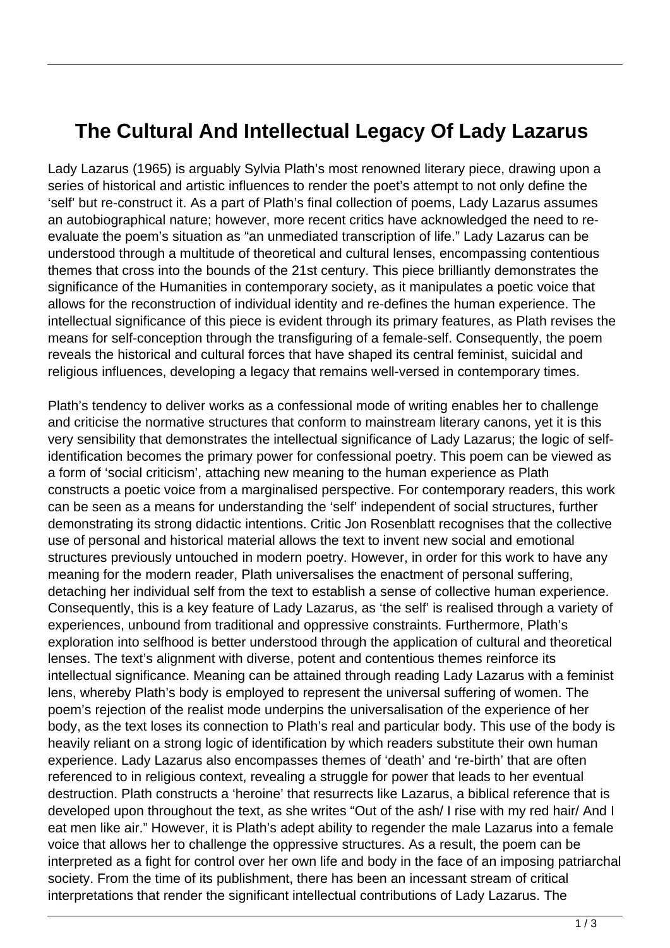## **The Cultural And Intellectual Legacy Of Lady Lazarus**

Lady Lazarus (1965) is arguably Sylvia Plath's most renowned literary piece, drawing upon a series of historical and artistic influences to render the poet's attempt to not only define the 'self' but re-construct it. As a part of Plath's final collection of poems, Lady Lazarus assumes an autobiographical nature; however, more recent critics have acknowledged the need to reevaluate the poem's situation as "an unmediated transcription of life." Lady Lazarus can be understood through a multitude of theoretical and cultural lenses, encompassing contentious themes that cross into the bounds of the 21st century. This piece brilliantly demonstrates the significance of the Humanities in contemporary society, as it manipulates a poetic voice that allows for the reconstruction of individual identity and re-defines the human experience. The intellectual significance of this piece is evident through its primary features, as Plath revises the means for self-conception through the transfiguring of a female-self. Consequently, the poem reveals the historical and cultural forces that have shaped its central feminist, suicidal and religious influences, developing a legacy that remains well-versed in contemporary times.

Plath's tendency to deliver works as a confessional mode of writing enables her to challenge and criticise the normative structures that conform to mainstream literary canons, yet it is this very sensibility that demonstrates the intellectual significance of Lady Lazarus; the logic of selfidentification becomes the primary power for confessional poetry. This poem can be viewed as a form of 'social criticism', attaching new meaning to the human experience as Plath constructs a poetic voice from a marginalised perspective. For contemporary readers, this work can be seen as a means for understanding the 'self' independent of social structures, further demonstrating its strong didactic intentions. Critic Jon Rosenblatt recognises that the collective use of personal and historical material allows the text to invent new social and emotional structures previously untouched in modern poetry. However, in order for this work to have any meaning for the modern reader, Plath universalises the enactment of personal suffering, detaching her individual self from the text to establish a sense of collective human experience. Consequently, this is a key feature of Lady Lazarus, as 'the self' is realised through a variety of experiences, unbound from traditional and oppressive constraints. Furthermore, Plath's exploration into selfhood is better understood through the application of cultural and theoretical lenses. The text's alignment with diverse, potent and contentious themes reinforce its intellectual significance. Meaning can be attained through reading Lady Lazarus with a feminist lens, whereby Plath's body is employed to represent the universal suffering of women. The poem's rejection of the realist mode underpins the universalisation of the experience of her body, as the text loses its connection to Plath's real and particular body. This use of the body is heavily reliant on a strong logic of identification by which readers substitute their own human experience. Lady Lazarus also encompasses themes of 'death' and 're-birth' that are often referenced to in religious context, revealing a struggle for power that leads to her eventual destruction. Plath constructs a 'heroine' that resurrects like Lazarus, a biblical reference that is developed upon throughout the text, as she writes "Out of the ash/ I rise with my red hair/ And I eat men like air." However, it is Plath's adept ability to regender the male Lazarus into a female voice that allows her to challenge the oppressive structures. As a result, the poem can be interpreted as a fight for control over her own life and body in the face of an imposing patriarchal society. From the time of its publishment, there has been an incessant stream of critical interpretations that render the significant intellectual contributions of Lady Lazarus. The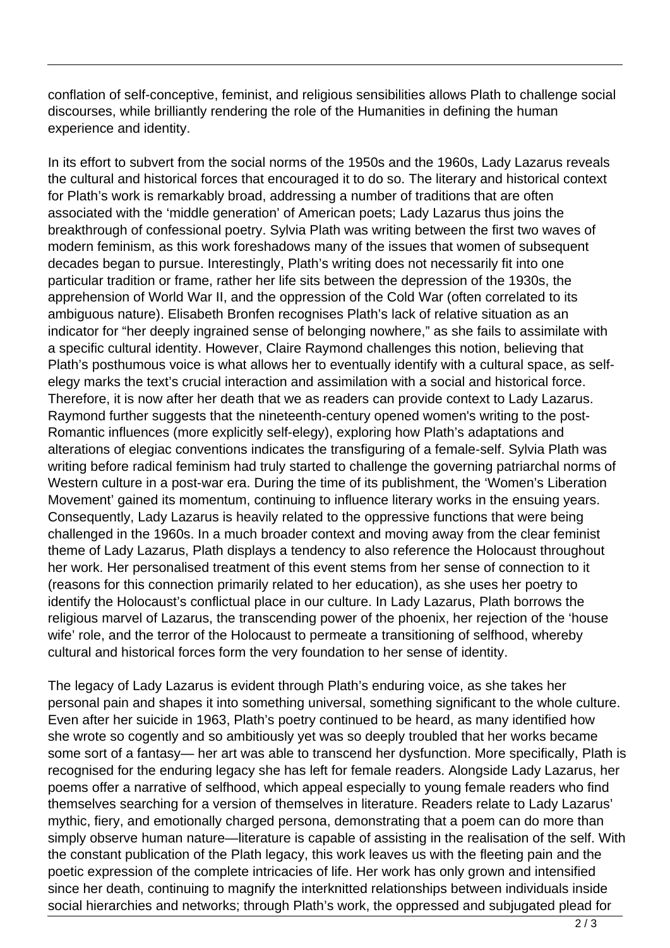conflation of self-conceptive, feminist, and religious sensibilities allows Plath to challenge social discourses, while brilliantly rendering the role of the Humanities in defining the human experience and identity.

In its effort to subvert from the social norms of the 1950s and the 1960s, Lady Lazarus reveals the cultural and historical forces that encouraged it to do so. The literary and historical context for Plath's work is remarkably broad, addressing a number of traditions that are often associated with the 'middle generation' of American poets; Lady Lazarus thus joins the breakthrough of confessional poetry. Sylvia Plath was writing between the first two waves of modern feminism, as this work foreshadows many of the issues that women of subsequent decades began to pursue. Interestingly, Plath's writing does not necessarily fit into one particular tradition or frame, rather her life sits between the depression of the 1930s, the apprehension of World War II, and the oppression of the Cold War (often correlated to its ambiguous nature). Elisabeth Bronfen recognises Plath's lack of relative situation as an indicator for "her deeply ingrained sense of belonging nowhere," as she fails to assimilate with a specific cultural identity. However, Claire Raymond challenges this notion, believing that Plath's posthumous voice is what allows her to eventually identify with a cultural space, as selfelegy marks the text's crucial interaction and assimilation with a social and historical force. Therefore, it is now after her death that we as readers can provide context to Lady Lazarus. Raymond further suggests that the nineteenth-century opened women's writing to the post-Romantic influences (more explicitly self-elegy), exploring how Plath's adaptations and alterations of elegiac conventions indicates the transfiguring of a female-self. Sylvia Plath was writing before radical feminism had truly started to challenge the governing patriarchal norms of Western culture in a post-war era. During the time of its publishment, the 'Women's Liberation Movement' gained its momentum, continuing to influence literary works in the ensuing years. Consequently, Lady Lazarus is heavily related to the oppressive functions that were being challenged in the 1960s. In a much broader context and moving away from the clear feminist theme of Lady Lazarus, Plath displays a tendency to also reference the Holocaust throughout her work. Her personalised treatment of this event stems from her sense of connection to it (reasons for this connection primarily related to her education), as she uses her poetry to identify the Holocaust's conflictual place in our culture. In Lady Lazarus, Plath borrows the religious marvel of Lazarus, the transcending power of the phoenix, her rejection of the 'house wife' role, and the terror of the Holocaust to permeate a transitioning of selfhood, whereby cultural and historical forces form the very foundation to her sense of identity.

The legacy of Lady Lazarus is evident through Plath's enduring voice, as she takes her personal pain and shapes it into something universal, something significant to the whole culture. Even after her suicide in 1963, Plath's poetry continued to be heard, as many identified how she wrote so cogently and so ambitiously yet was so deeply troubled that her works became some sort of a fantasy— her art was able to transcend her dysfunction. More specifically, Plath is recognised for the enduring legacy she has left for female readers. Alongside Lady Lazarus, her poems offer a narrative of selfhood, which appeal especially to young female readers who find themselves searching for a version of themselves in literature. Readers relate to Lady Lazarus' mythic, fiery, and emotionally charged persona, demonstrating that a poem can do more than simply observe human nature—literature is capable of assisting in the realisation of the self. With the constant publication of the Plath legacy, this work leaves us with the fleeting pain and the poetic expression of the complete intricacies of life. Her work has only grown and intensified since her death, continuing to magnify the interknitted relationships between individuals inside social hierarchies and networks; through Plath's work, the oppressed and subjugated plead for